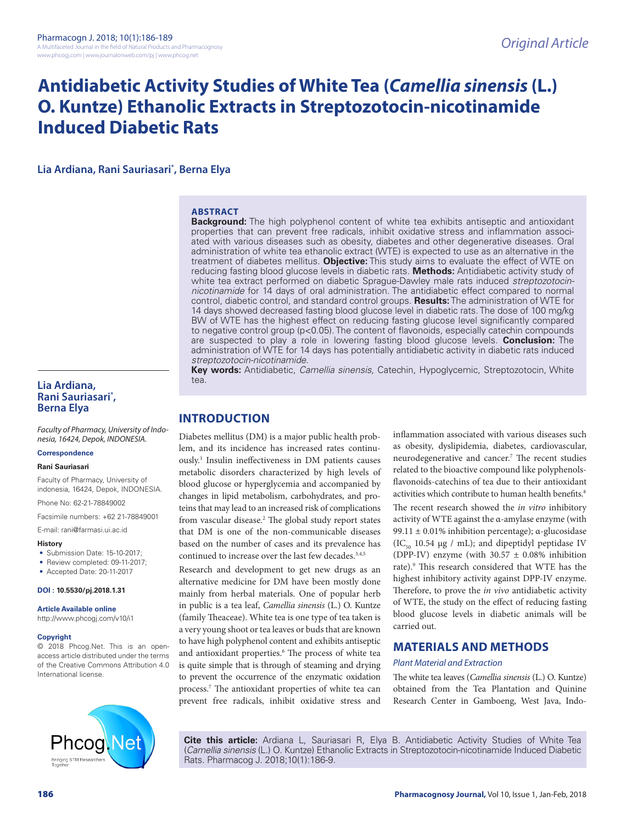# **Antidiabetic Activity Studies of White Tea (***Camellia sinensis* **(L.) O. Kuntze) Ethanolic Extracts in Streptozotocin-nicotinamide Induced Diabetic Rats**

**Lia Ardiana, Rani Sauriasari\* , Berna Elya**

# **ABSTRACT**

**Background:** The high polyphenol content of white tea exhibits antiseptic and antioxidant properties that can prevent free radicals, inhibit oxidative stress and inflammation associated with various diseases such as obesity, diabetes and other degenerative diseases. Oral administration of white tea ethanolic extract (WTE) is expected to use as an alternative in the treatment of diabetes mellitus. **Objective:** This study aims to evaluate the effect of WTE on reducing fasting blood glucose levels in diabetic rats. **Methods:** Antidiabetic activity study of white tea extract performed on diabetic Sprague-Dawley male rats induced *streptozotocinnicotinamide* for 14 days of oral administration. The antidiabetic effect compared to normal control, diabetic control, and standard control groups. **Results:** The administration of WTE for 14 days showed decreased fasting blood glucose level in diabetic rats. The dose of 100 mg/kg BW of WTE has the highest effect on reducing fasting glucose level significantly compared to negative control group (p<0.05). The content of flavonoids, especially catechin compounds are suspected to play a role in lowering fasting blood glucose levels. **Conclusion:** The administration of WTE for 14 days has potentially antidiabetic activity in diabetic rats induced *streptozotocin-nicotinamide*.

**Key words:** Antidiabetic, *Camellia sinensis*, Catechin, Hypoglycemic, Streptozotocin, White tea.

# **Lia Ardiana, Rani Sauriasari\* , Berna Elya**

*Faculty of Pharmacy, University of Indonesia, 16424, Depok, INDONESIA.*

### **Correspondence**

#### **Rani Sauriasari**

Faculty of Pharmacy, University of indonesia, 16424, Depok, INDONESIA.

Phone No: 62-21-78849002

Facsimile numbers: +62 21-78849001

E-mail: rani@farmasi.ui.ac.id

#### **History**

- Submission Date: 15-10-2017;
- Review completed: 09-11-2017;
- Accepted Date: 20-11-2017

# **DOI : 10.5530/pj.2018.1.31**

**Article Available online** 

http://www.phcogj.com/v10/i1

#### **Copyright**

© 2018 Phcog.Net. This is an openaccess article distributed under the terms of the Creative Commons Attribution 4.0 International license.

**INTRODUCTION**

Diabetes mellitus (DM) is a major public health problem, and its incidence has increased rates continuously.1 Insulin ineffectiveness in DM patients causes metabolic disorders characterized by high levels of blood glucose or hyperglycemia and accompanied by changes in lipid metabolism, carbohydrates, and proteins that may lead to an increased risk of complications from vascular disease.<sup>2</sup> The global study report states that DM is one of the non-communicable diseases based on the number of cases and its prevalence has continued to increase over the last few decades.3,4,5

Research and development to get new drugs as an alternative medicine for DM have been mostly done mainly from herbal materials. One of popular herb in public is a tea leaf, *Camellia sinensis* (L.) O. Kuntze (family Theaceae). White tea is one type of tea taken is a very young shoot or tea leaves or buds that are known to have high polyphenol content and exhibits antiseptic and antioxidant properties.<sup>6</sup> The process of white tea is quite simple that is through of steaming and drying to prevent the occurrence of the enzymatic oxidation process.7 The antioxidant properties of white tea can prevent free radicals, inhibit oxidative stress and

inflammation associated with various diseases such as obesity, dyslipidemia, diabetes, cardiovascular, neurodegenerative and cancer.7 The recent studies related to the bioactive compound like polyphenolsflavonoids-catechins of tea due to their antioxidant activities which contribute to human health benefits.<sup>8</sup> The recent research showed the *in vitro* inhibitory activity of WTE against the α-amylase enzyme (with

99.11 ± 0.01% inhibition percentage); α-glucosidase  $(IC_{50} 10.54 \mu g / mL)$ ; and dipeptidyl peptidase IV (DPP-IV) enzyme (with  $30.57 \pm 0.08\%$  inhibition rate).9 This research considered that WTE has the highest inhibitory activity against DPP-IV enzyme. Therefore, to prove the *in vivo* antidiabetic activity of WTE, the study on the effect of reducing fasting blood glucose levels in diabetic animals will be carried out.

# **MATERIALS AND METHODS**

# *Plant Material and Extraction*

The white tea leaves (*Camellia sinensis* (L.) O. Kuntze) obtained from the Tea Plantation and Quinine Research Center in Gamboeng, West Java, Indo-



**Cite this article:** Ardiana L, Sauriasari R, Elya B. Antidiabetic Activity Studies of White Tea (*Camellia sinensis* (L.) O. Kuntze) Ethanolic Extracts in Streptozotocin-nicotinamide Induced Diabetic Rats. Pharmacog J. 2018;10(1):186-9.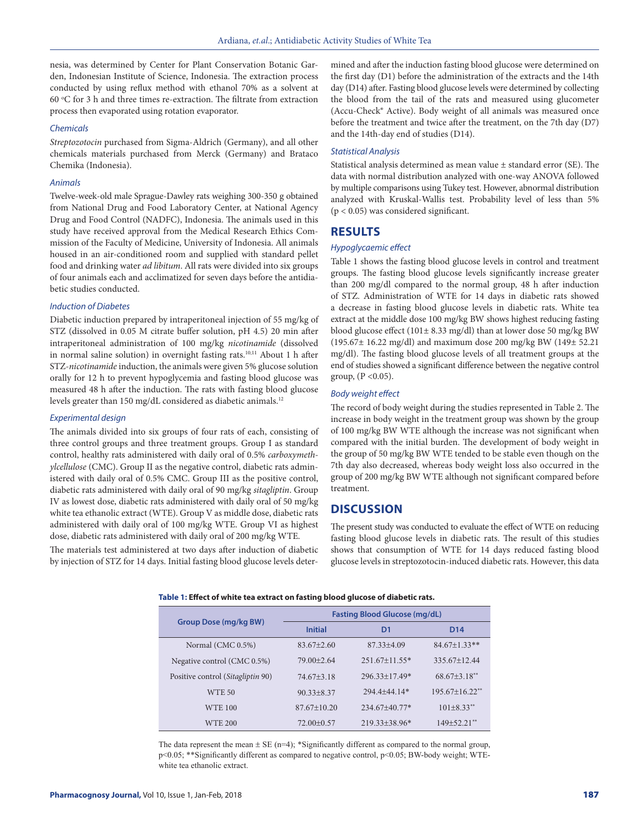nesia, was determined by Center for Plant Conservation Botanic Garden, Indonesian Institute of Science, Indonesia. The extraction process conducted by using reflux method with ethanol 70% as a solvent at 60 °C for 3 h and three times re-extraction. The filtrate from extraction process then evaporated using rotation evaporator.

#### *Chemicals*

*Streptozotocin* purchased from Sigma-Aldrich (Germany), and all other chemicals materials purchased from Merck (Germany) and Brataco Chemika (Indonesia).

#### *Animals*

Twelve-week-old male Sprague-Dawley rats weighing 300-350 g obtained from National Drug and Food Laboratory Center, at National Agency Drug and Food Control (NADFC), Indonesia. The animals used in this study have received approval from the Medical Research Ethics Commission of the Faculty of Medicine, University of Indonesia. All animals housed in an air-conditioned room and supplied with standard pellet food and drinking water *ad libitum*. All rats were divided into six groups of four animals each and acclimatized for seven days before the antidiabetic studies conducted.

#### *Induction of Diabetes*

Diabetic induction prepared by intraperitoneal injection of 55 mg/kg of STZ (dissolved in 0.05 M citrate buffer solution, pH 4.5) 20 min after intraperitoneal administration of 100 mg/kg *nicotinamide* (dissolved in normal saline solution) in overnight fasting rats.10,11 About 1 h after STZ-*nicotinamide* induction, the animals were given 5% glucose solution orally for 12 h to prevent hypoglycemia and fasting blood glucose was measured 48 h after the induction. The rats with fasting blood glucose levels greater than 150 mg/dL considered as diabetic animals.<sup>12</sup>

# *Experimental design*

The animals divided into six groups of four rats of each, consisting of three control groups and three treatment groups. Group I as standard control, healthy rats administered with daily oral of 0.5% *carboxymethylcellulose* (CMC). Group II as the negative control, diabetic rats administered with daily oral of 0.5% CMC. Group III as the positive control, diabetic rats administered with daily oral of 90 mg/kg *sitagliptin*. Group IV as lowest dose, diabetic rats administered with daily oral of 50 mg/kg white tea ethanolic extract (WTE). Group V as middle dose, diabetic rats administered with daily oral of 100 mg/kg WTE. Group VI as highest dose, diabetic rats administered with daily oral of 200 mg/kg WTE.

The materials test administered at two days after induction of diabetic by injection of STZ for 14 days. Initial fasting blood glucose levels determined and after the induction fasting blood glucose were determined on the first day (D1) before the administration of the extracts and the 14th day (D14) after. Fasting blood glucose levels were determined by collecting the blood from the tail of the rats and measured using glucometer (Accu-Check® Active). Body weight of all animals was measured once before the treatment and twice after the treatment, on the 7th day (D7) and the 14th-day end of studies (D14).

### *Statistical Analysis*

Statistical analysis determined as mean value ± standard error (SE). The data with normal distribution analyzed with one-way ANOVA followed by multiple comparisons using Tukey test. However, abnormal distribution analyzed with Kruskal-Wallis test. Probability level of less than 5% (p < 0.05) was considered significant.

# **RESULTS**

#### *Hypoglycaemic effect*

Table 1 shows the fasting blood glucose levels in control and treatment groups. The fasting blood glucose levels significantly increase greater than 200 mg/dl compared to the normal group, 48 h after induction of STZ. Administration of WTE for 14 days in diabetic rats showed a decrease in fasting blood glucose levels in diabetic rats. White tea extract at the middle dose 100 mg/kg BW shows highest reducing fasting blood glucose effect (101± 8.33 mg/dl) than at lower dose 50 mg/kg BW (195.67± 16.22 mg/dl) and maximum dose 200 mg/kg BW (149± 52.21 mg/dl). The fasting blood glucose levels of all treatment groups at the end of studies showed a significant difference between the negative control group,  $(P < 0.05)$ .

#### *Body weight effect*

The record of body weight during the studies represented in Table 2. The increase in body weight in the treatment group was shown by the group of 100 mg/kg BW WTE although the increase was not significant when compared with the initial burden. The development of body weight in the group of 50 mg/kg BW WTE tended to be stable even though on the 7th day also decreased, whereas body weight loss also occurred in the group of 200 mg/kg BW WTE although not significant compared before treatment.

# **DISCUSSION**

The present study was conducted to evaluate the effect of WTE on reducing fasting blood glucose levels in diabetic rats. The result of this studies shows that consumption of WTE for 14 days reduced fasting blood glucose levels in streptozotocin-induced diabetic rats. However, this data

| <b>Fasting Blood Glucose (mg/dL)</b> |  |  |  |
|--------------------------------------|--|--|--|
| D <sub>14</sub>                      |  |  |  |
| $84.67 + 1.33**$                     |  |  |  |
| 335.67+12.44                         |  |  |  |
| $68.67\pm3.18$ **                    |  |  |  |
| $195.67+16.22$ <sup>**</sup>         |  |  |  |
| $101 + 8.33$ <sup>**</sup>           |  |  |  |
| $149 + 52.21$ **                     |  |  |  |
|                                      |  |  |  |

**Table 1: Effect of white tea extract on fasting blood glucose of diabetic rats.**

The data represent the mean  $\pm$  SE (n=4); \*Significantly different as compared to the normal group, p<0.05; \*\*Significantly different as compared to negative control, p<0.05; BW-body weight; WTEwhite tea ethanolic extract.

# **Pharmacognosy Journal,** Vol 10, Issue 1, Jan-Feb, 2018 187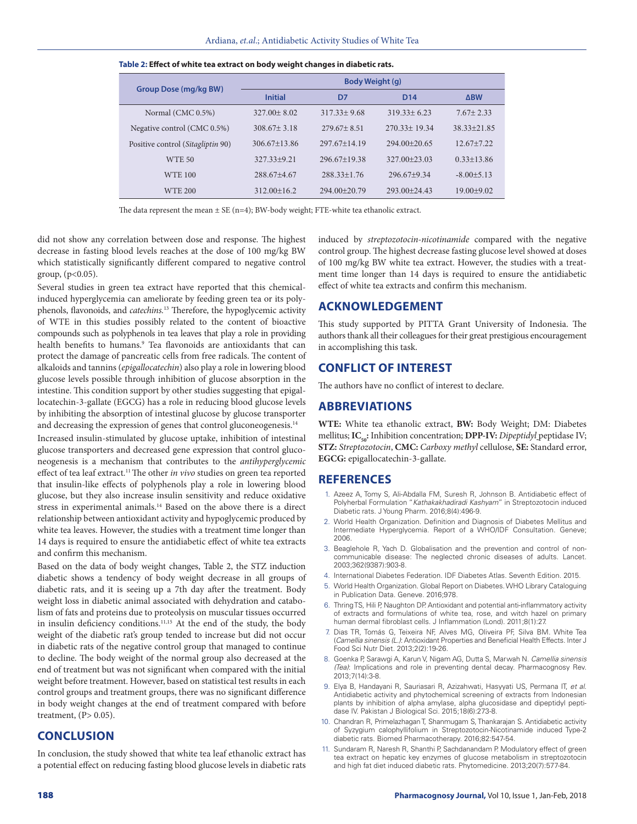| <b>Group Dose (mg/kg BW)</b>      | Body Weight (g)  |                  |                  |                 |
|-----------------------------------|------------------|------------------|------------------|-----------------|
|                                   | <b>Initial</b>   | D7               | D <sub>14</sub>  | <b>ABW</b>      |
| Normal (CMC 0.5%)                 | $327.00 + 8.02$  | $317.33 + 9.68$  | $319.33 + 6.23$  | $7.67 + 2.33$   |
| Negative control (CMC 0.5%)       | $308.67 + 3.18$  | $279.67 + 8.51$  | $270.33 + 19.34$ | $38.33 + 21.85$ |
| Positive control (Sitagliptin 90) | $306.67 + 13.86$ | $297.67 + 14.19$ | $294.00+20.65$   | $12.67 + 7.22$  |
| <b>WTE 50</b>                     | $327.33+9.21$    | $296.67+19.38$   | $327.00 + 23.03$ | $0.33 + 13.86$  |
| <b>WTE 100</b>                    | $288.67 + 4.67$  | $288.33 + 1.76$  | $296.67+9.34$    | $-8.00 + 5.13$  |
| <b>WTE 200</b>                    | $312.00+16.2$    | $294.00+20.79$   | $293.00+24.43$   | $19.00+9.02$    |

**Table 2: Effect of white tea extract on body weight changes in diabetic rats.**

The data represent the mean  $\pm$  SE (n=4); BW-body weight; FTE-white tea ethanolic extract.

did not show any correlation between dose and response. The highest decrease in fasting blood levels reaches at the dose of 100 mg/kg BW which statistically significantly different compared to negative control group, (p<0.05).

Several studies in green tea extract have reported that this chemicalinduced hyperglycemia can ameliorate by feeding green tea or its polyphenols, flavonoids, and *catechins.*13 Therefore, the hypoglycemic activity of WTE in this studies possibly related to the content of bioactive compounds such as polyphenols in tea leaves that play a role in providing health benefits to humans.9 Tea flavonoids are antioxidants that can protect the damage of pancreatic cells from free radicals. The content of alkaloids and tannins (*epigallocatechin*) also play a role in lowering blood glucose levels possible through inhibition of glucose absorption in the intestine. This condition support by other studies suggesting that epigallocatechin-3-gallate (EGCG) has a role in reducing blood glucose levels by inhibiting the absorption of intestinal glucose by glucose transporter and decreasing the expression of genes that control gluconeogenesis.<sup>14</sup>

Increased insulin-stimulated by glucose uptake, inhibition of intestinal glucose transporters and decreased gene expression that control gluconeogenesis is a mechanism that contributes to the *antihyperglycemic* effect of tea leaf extract.<sup>11</sup> The other *in vivo* studies on green tea reported that insulin-like effects of polyphenols play a role in lowering blood glucose, but they also increase insulin sensitivity and reduce oxidative stress in experimental animals.<sup>14</sup> Based on the above there is a direct relationship between antioxidant activity and hypoglycemic produced by white tea leaves. However, the studies with a treatment time longer than 14 days is required to ensure the antidiabetic effect of white tea extracts and confirm this mechanism.

Based on the data of body weight changes, Table 2, the STZ induction diabetic shows a tendency of body weight decrease in all groups of diabetic rats, and it is seeing up a 7th day after the treatment. Body weight loss in diabetic animal associated with dehydration and catabolism of fats and proteins due to proteolysis on muscular tissues occurred in insulin deficiency conditions.11,15 At the end of the study, the body weight of the diabetic rat's group tended to increase but did not occur in diabetic rats of the negative control group that managed to continue to decline. The body weight of the normal group also decreased at the end of treatment but was not significant when compared with the initial weight before treatment. However, based on statistical test results in each control groups and treatment groups, there was no significant difference in body weight changes at the end of treatment compared with before treatment,  $(P> 0.05)$ .

# **CONCLUSION**

In conclusion, the study showed that white tea leaf ethanolic extract has a potential effect on reducing fasting blood glucose levels in diabetic rats induced by *streptozotocin-nicotinamide* compared with the negative control group. The highest decrease fasting glucose level showed at doses of 100 mg/kg BW white tea extract. However, the studies with a treatment time longer than 14 days is required to ensure the antidiabetic effect of white tea extracts and confirm this mechanism.

# **ACKNOWLEDGEMENT**

This study supported by PITTA Grant University of Indonesia. The authors thank all their colleagues for their great prestigious encouragement in accomplishing this task.

# **CONFLICT OF INTEREST**

The authors have no conflict of interest to declare.

# **ABBREVIATIONS**

**WTE:** White tea ethanolic extract, **BW:** Body Weight; DM: Diabetes mellitus; IC<sub>50</sub>: Inhibition concentration; DPP-IV: Dipeptidyl peptidase IV; **STZ:** *Streptozotocin*, **CMC:** *Carboxy methyl* cellulose, **SE:** Standard error, **EGCG:** epigallocatechin-3-gallate.

# **REFERENCES**

- 1. Azeez A, Tomy S, Ali-Abdalla FM, Suresh R, Johnson B. Antidiabetic effect of Polyherbal Formulation "*Kathakakhadiradi Kashyam*" in Streptozotocin induced Diabetic rats. J Young Pharm. 2016;8(4):496-9.
- 2. World Health Organization. Definition and Diagnosis of Diabetes Mellitus and Intermediate Hyperglycemia. Report of a WHO/IDF Consultation. Geneve; 2006.
- 3. Beaglehole R, Yach D. Globalisation and the prevention and control of noncommunicable disease: The neglected chronic diseases of adults. Lancet. 2003;362(9387):903-8.
- 4. International Diabetes Federation. IDF Diabetes Atlas. Seventh Edition. 2015.
- 5. World Health Organization. Global Report on Diabetes. WHO Library Cataloguing in Publication Data. Geneve. 2016;978.
- 6. Thring TS, Hili P, Naughton DP. Antioxidant and potential anti-inflammatory activity of extracts and formulations of white tea, rose, and witch hazel on primary human dermal fibroblast cells. J Inflammation (Lond). 2011;8(1):27.
- 7. Dias TR, Tomás G, Teixeira NF, Alves MG, Oliveira PF, Silva BM. White Tea (*Camellia sinensis (L.)*: Antioxidant Properties and Beneficial Health Effects. Inter J Food Sci Nutr Diet. 2013;2(2):19-26.
- 8. Goenka P, Sarawgi A, Karun V, Nigam AG, Dutta S, Marwah N. *Camellia sinensis (Tea)*: Implications and role in preventing dental decay. Pharmacognosy Rev. 2013;7(14):3-8.
- 9. Elya B, Handayani R, Sauriasari R, Azizahwati, Hasyyati US, Permana IT, *et al*. Antidiabetic activity and phytochemical screening of extracts from Indonesian plants by inhibition of alpha amylase, alpha glucosidase and dipeptidyl peptidase IV. Pakistan J Biological Sci. 2015;18(6):273-8.
- 10. Chandran R, Primelazhagan T, Shanmugam S, Thankarajan S. Antidiabetic activity of Syzygium calophyllifolium in Streptozotocin-Nicotinamide induced Type-2 diabetic rats. Biomed Pharmacotherapy. 2016;82:547-54.
- 11. Sundaram R, Naresh R, Shanthi P, Sachdanandam P. Modulatory effect of green tea extract on hepatic key enzymes of glucose metabolism in streptozotocin and high fat diet induced diabetic rats. Phytomedicine. 2013;20(7):577-84.